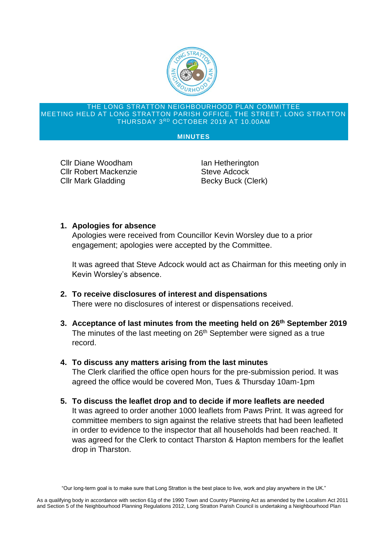

#### THE LONG STRATTON NEIGHBOURHOOD PLAN COMMITTEE MEETING HELD AT LONG STRATTON PARISH OFFICE, THE STREET, LONG STRATTON THURSDAY 3 RD OCTOBER 2019 AT 10.00AM

### **MINUTES**

Cllr Diane Woodham **Ian Hetherington** Cllr Robert Mackenzie **Steve Adcock** Cllr Mark Gladding Becky Buck (Clerk)

## **1. Apologies for absence**

Apologies were received from Councillor Kevin Worsley due to a prior engagement; apologies were accepted by the Committee.

It was agreed that Steve Adcock would act as Chairman for this meeting only in Kevin Worsley's absence.

- **2. To receive disclosures of interest and dispensations** There were no disclosures of interest or dispensations received.
- **3. Acceptance of last minutes from the meeting held on 26th September 2019** The minutes of the last meeting on 26<sup>th</sup> September were signed as a true record.
- **4. To discuss any matters arising from the last minutes** The Clerk clarified the office open hours for the pre-submission period. It was agreed the office would be covered Mon, Tues & Thursday 10am-1pm
- **5. To discuss the leaflet drop and to decide if more leaflets are needed** It was agreed to order another 1000 leaflets from Paws Print. It was agreed for committee members to sign against the relative streets that had been leafleted in order to evidence to the inspector that all households had been reached. It was agreed for the Clerk to contact Tharston & Hapton members for the leaflet drop in Tharston.

<sup>&</sup>quot;Our long-term goal is to make sure that Long Stratton is the best place to live, work and play anywhere in the UK."